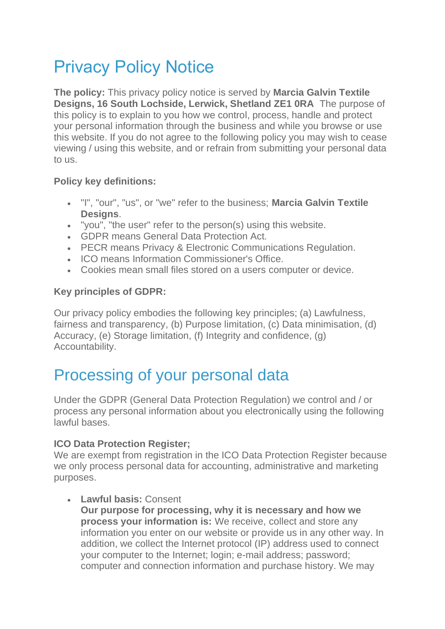# Privacy Policy Notice

**The policy:** This privacy policy notice is served by **Marcia Galvin Textile Designs, 16 South Lochside, Lerwick, Shetland ZE1 0RA** The purpose of this policy is to explain to you how we control, process, handle and protect your personal information through the business and while you browse or use this website. If you do not agree to the following policy you may wish to cease viewing / using this website, and or refrain from submitting your personal data to us.

#### **Policy key definitions:**

- "I", "our", "us", or "we" refer to the business; **Marcia Galvin Textile Designs**.
- "you", "the user" refer to the person(s) using this website.
- GDPR means General Data Protection Act.
- PECR means Privacy & Electronic Communications Regulation.
- ICO means Information Commissioner's Office.
- Cookies mean small files stored on a users computer or device.

#### **Key principles of GDPR:**

Our privacy policy embodies the following key principles; (a) Lawfulness, fairness and transparency, (b) Purpose limitation, (c) Data minimisation, (d) Accuracy, (e) Storage limitation, (f) Integrity and confidence, (g) Accountability.

## Processing of your personal data

Under the GDPR (General Data Protection Regulation) we control and / or process any personal information about you electronically using the following lawful bases.

#### **ICO Data Protection Register;**

We are exempt from registration in the ICO Data Protection Register because we only process personal data for accounting, administrative and marketing purposes.

#### • **Lawful basis:** Consent

**Our purpose for processing, why it is necessary and how we process your information is:** We receive, collect and store any information you enter on our website or provide us in any other way. In addition, we collect the Internet protocol (IP) address used to connect your computer to the Internet; login; e-mail address; password; computer and connection information and purchase history. We may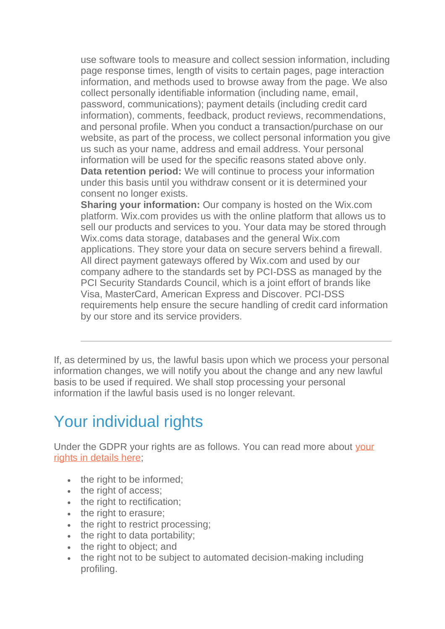use software tools to measure and collect session information, including page response times, length of visits to certain pages, page interaction information, and methods used to browse away from the page. We also collect personally identifiable information (including name, email, password, communications); payment details (including credit card information), comments, feedback, product reviews, recommendations, and personal profile. When you conduct a transaction/purchase on our website, as part of the process, we collect personal information you give us such as your name, address and email address. Your personal information will be used for the specific reasons stated above only. **Data retention period:** We will continue to process your information under this basis until you withdraw consent or it is determined your consent no longer exists.

**Sharing your information:** Our company is hosted on the Wix.com platform. Wix.com provides us with the online platform that allows us to sell our products and services to you. Your data may be stored through Wix.coms data storage, databases and the general Wix.com applications. They store your data on secure servers behind a firewall. All direct payment gateways offered by Wix.com and used by our company adhere to the standards set by PCI-DSS as managed by the PCI Security Standards Council, which is a joint effort of brands like Visa, MasterCard, American Express and Discover. PCI-DSS requirements help ensure the secure handling of credit card information by our store and its service providers.

If, as determined by us, the lawful basis upon which we process your personal information changes, we will notify you about the change and any new lawful basis to be used if required. We shall stop processing your personal information if the lawful basis used is no longer relevant.

## Your individual rights

Under the GDPR your rights are as follows. You can read more about [your](https://ico.org.uk/for-organisations/guide-to-the-general-data-protection-regulation-gdpr/individual-rights/)  [rights in details here;](https://ico.org.uk/for-organisations/guide-to-the-general-data-protection-regulation-gdpr/individual-rights/)

- the right to be informed:
- the right of access;
- the right to rectification;
- the right to erasure:
- the right to restrict processing;
- the right to data portability;
- the right to object; and
- the right not to be subject to automated decision-making including profiling.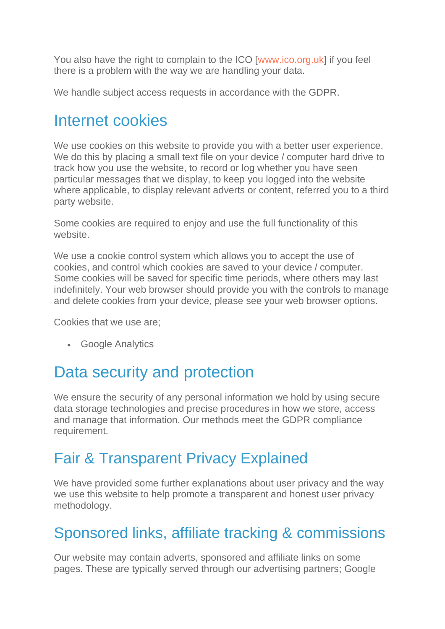You also have the right to complain to the ICO [www.jco.org.uk] if you feel there is a problem with the way we are handling your data.

We handle subject access requests in accordance with the GDPR.

### Internet cookies

We use cookies on this website to provide you with a better user experience. We do this by placing a small text file on your device / computer hard drive to track how you use the website, to record or log whether you have seen particular messages that we display, to keep you logged into the website where applicable, to display relevant adverts or content, referred you to a third party website.

Some cookies are required to enjoy and use the full functionality of this website.

We use a cookie control system which allows you to accept the use of cookies, and control which cookies are saved to your device / computer. Some cookies will be saved for specific time periods, where others may last indefinitely. Your web browser should provide you with the controls to manage and delete cookies from your device, please see your web browser options.

Cookies that we use are;

• Google Analytics

## Data security and protection

We ensure the security of any personal information we hold by using secure data storage technologies and precise procedures in how we store, access and manage that information. Our methods meet the GDPR compliance requirement.

### Fair & Transparent Privacy Explained

We have provided some further explanations about user privacy and the way we use this website to help promote a transparent and honest user privacy methodology.

### Sponsored links, affiliate tracking & commissions

Our website may contain adverts, sponsored and affiliate links on some pages. These are typically served through our advertising partners; Google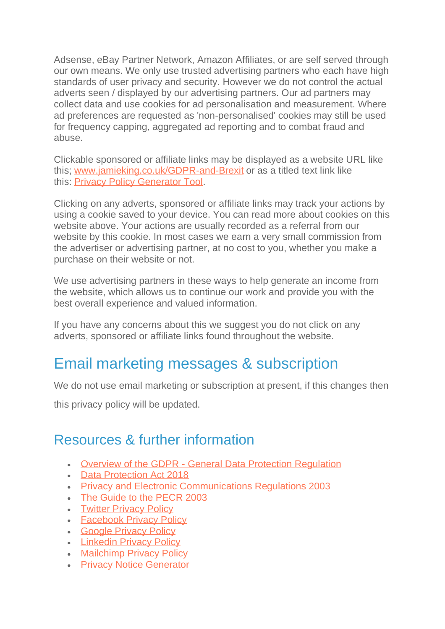Adsense, eBay Partner Network, Amazon Affiliates, or are self served through our own means. We only use trusted advertising partners who each have high standards of user privacy and security. However we do not control the actual adverts seen / displayed by our advertising partners. Our ad partners may collect data and use cookies for ad personalisation and measurement. Where ad preferences are requested as 'non-personalised' cookies may still be used for frequency capping, aggregated ad reporting and to combat fraud and abuse.

Clickable sponsored or affiliate links may be displayed as a website URL like this; [www.jamieking.co.uk/GDPR-and-Brexit](http://jamieking.co.uk/blog/digital-business/my-biz/gdpr-and-brexit-deal-impact.php) or as a titled text link like this: [Privacy Policy Generator Tool.](http://jamieking.co.uk/blog/cyber-security/policies/privacy-policy-generator.php)

Clicking on any adverts, sponsored or affiliate links may track your actions by using a cookie saved to your device. You can read more about cookies on this website above. Your actions are usually recorded as a referral from our website by this cookie. In most cases we earn a very small commission from the advertiser or advertising partner, at no cost to you, whether you make a purchase on their website or not.

We use advertising partners in these ways to help generate an income from the website, which allows us to continue our work and provide you with the best overall experience and valued information.

If you have any concerns about this we suggest you do not click on any adverts, sponsored or affiliate links found throughout the website.

#### Email marketing messages & subscription

We do not use email marketing or subscription at present, if this changes then

this privacy policy will be updated.

#### Resources & further information

- Overview of the GDPR [General Data Protection Regulation](https://ico.org.uk/for-organisations/data-protection-reform/overview-of-the-gdpr/)
- [Data Protection Act 2018](http://www.legislation.gov.uk/ukpga/2018/12/contents/enacted)
- [Privacy and Electronic Communications Regulations 2003](http://www.legislation.gov.uk/uksi/2003/2426/contents/made)
- [The Guide to the PECR 2003](https://ico.org.uk/for-organisations/guide-to-pecr/)
- **[Twitter Privacy Policy](http://twitter.com/privacy)**
- [Facebook Privacy Policy](http://www.facebook.com/about/privacy/)
- [Google Privacy Policy](http://www.google.com/privacy.html)
- [Linkedin Privacy Policy](http://www.linkedin.com/static?key=privacy_policy)
- [Mailchimp Privacy Policy](http://mailchimp.com/legal/privacy/)
- [Privacy Notice Generator](http://jamieking.co.uk/blog/cyber-security/policies/privacy-policy-generator.php)